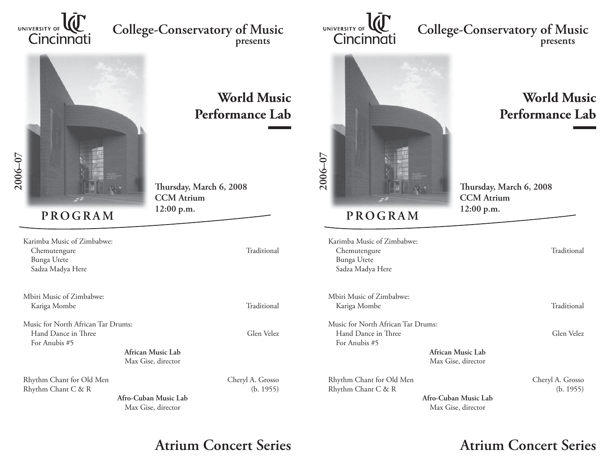

## **College-Conservatory of Music presents**



## **World Music Performance Lab**

**Th ursday, March 6, 2008 CCM Atrium12:00 p.m.**

Karimba Music of Zimbabwe:Chemutengure Traditional Bunga Utete

Mbiri Music of Zimbabwe: Kariga Mombe Traditional

Sadza Madya Here

Music for North African Tar Drums:Hand Dance in Three Glen Velez For Anubis #5

> **African Music Lab**Max Gise, director

Rhythm Chant for Old Men Cheryl A. Grosso Rhythm Chant C & R (b. 1955)

> **Afro-Cuban Music Lab**Max Gise, director

**Atrium Concert Series Atrium Concert Series**